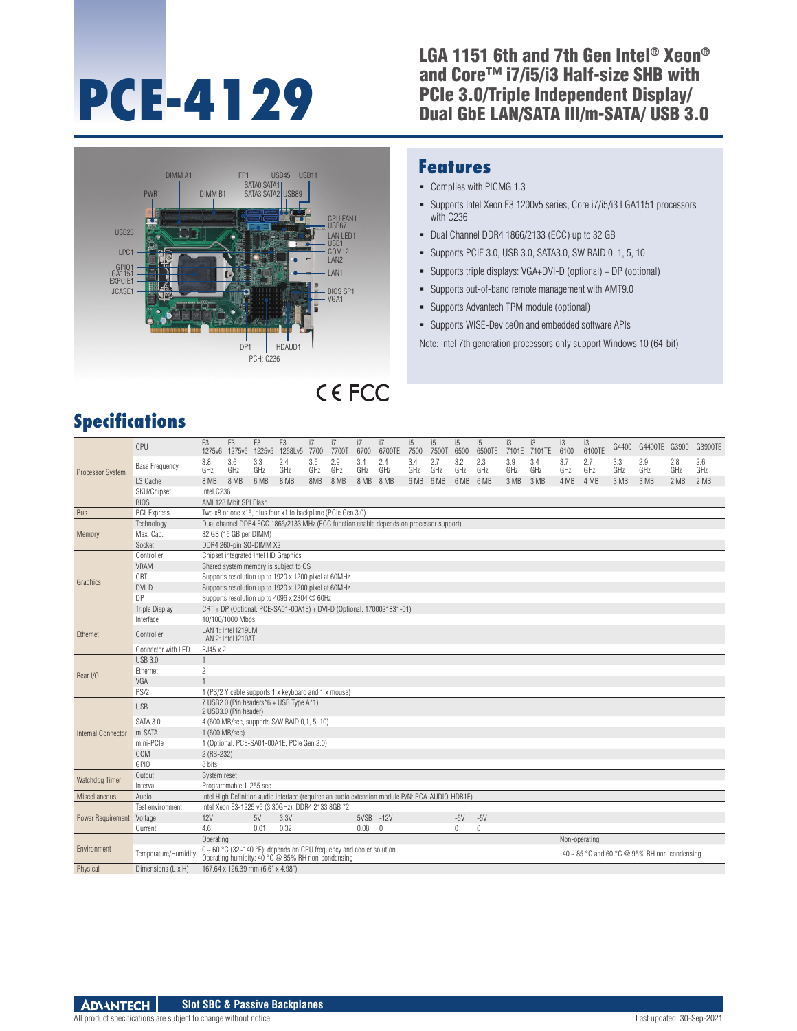# **PCE-4129**

#### LGA 1151 6th and 7th Gen Intel® Xeon® and Core™ i7/i5/i3 Half-size SHB with PCIe 3.0/Triple Independent Display/ Dual GbE LAN/SATA III/m-SATA/ USB 3.0



#### **Features**

- Complies with PICMG 1.3
- Supports Intel Xeon E3 1200v5 series, Core i7/i5/i3 LGA1151 processors with C236
- Dual Channel DDR4 1866/2133 (ECC) up to 32 GB
- Supports PCIE 3.0, USB 3.0, SATA3.0, SW RAID 0, 1, 5, 10
- Supports triple displays: VGA+DVI-D (optional) + DP (optional)
- Supports out-of-band remote management with AMT9.0
- Supports Advantech TPM module (optional)
- Supports WISE-DeviceOn and embedded software APIs

Note: Intel 7th generation processors only support Windows 10 (64-bit)

# **CEFCC**

# **Specifications**

| <b>Processor System</b>   | CPU                   | E3-                                                                                             | E3-                                                         | E3-                               | E3-<br>1275v6 1275v5 1225v5 1268Lv5 7700                                                                                      | $i7-$      | $i7-$<br>7700T | $i7-$<br>6700 | $i7-$<br>6700TE | $i5-$<br>7500 | $15-$<br>7500T | $i5-$<br>6500 | $i5-$<br>6500TE | $i3-$      | i3-<br>7101E 7101TE | $i3-$<br>6100 | $i3-$<br>6100TE | G4400      | G4400TE G3900                                      |            | G3900TE    |
|---------------------------|-----------------------|-------------------------------------------------------------------------------------------------|-------------------------------------------------------------|-----------------------------------|-------------------------------------------------------------------------------------------------------------------------------|------------|----------------|---------------|-----------------|---------------|----------------|---------------|-----------------|------------|---------------------|---------------|-----------------|------------|----------------------------------------------------|------------|------------|
|                           | <b>Base Frequency</b> | 3.8<br>GHz                                                                                      | 3.6<br>GHz                                                  | 3.3<br>GHz                        | 2.4<br>GHz                                                                                                                    | 3.6<br>GHz | 2.9<br>GHz     | 3.4<br>GHz    | 2.4<br>GHz      | 3.4<br>GHz    | 2.7<br>GHz     | 3.2<br>GHz    | 2.3<br>GHz      | 3.9<br>GHz | 3.4<br>GHz          | 3.7<br>GHz    | 2.7<br>GHz      | 3.3<br>GHz | 2.9<br>GHz                                         | 2.8<br>GHz | 2.6<br>GHz |
|                           | L <sub>3</sub> Cache  | 8 MB                                                                                            | 8 MB                                                        | 6 MB                              | 8 MB                                                                                                                          | 8MB        | 8 MB           | 8 MB 8 MB     |                 | 6 MB          | 6 MB           | 6 MB 6 MB     |                 | 3 MB       | 3 MB                | 4 MB          | 4 MB            | 3 MB       | 3 MB                                               | 2 MB       | 2 MB       |
|                           | SKU/Chipset           | Intel C236                                                                                      |                                                             |                                   |                                                                                                                               |            |                |               |                 |               |                |               |                 |            |                     |               |                 |            |                                                    |            |            |
|                           | <b>BIOS</b>           |                                                                                                 | AMI 128 Mbit SPI Flash                                      |                                   |                                                                                                                               |            |                |               |                 |               |                |               |                 |            |                     |               |                 |            |                                                    |            |            |
| <b>Bus</b>                | PCI-Express           |                                                                                                 | Two x8 or one x16, plus four x1 to backplane (PCIe Gen 3.0) |                                   |                                                                                                                               |            |                |               |                 |               |                |               |                 |            |                     |               |                 |            |                                                    |            |            |
| Memory                    | Technology            |                                                                                                 |                                                             |                                   | Dual channel DDR4 ECC 1866/2133 MHz (ECC function enable depends on processor support)                                        |            |                |               |                 |               |                |               |                 |            |                     |               |                 |            |                                                    |            |            |
|                           | Max. Cap.             |                                                                                                 | 32 GB (16 GB per DIMM)                                      |                                   |                                                                                                                               |            |                |               |                 |               |                |               |                 |            |                     |               |                 |            |                                                    |            |            |
|                           | Socket                |                                                                                                 |                                                             | DDR4 260-pin SO-DIMM X2           |                                                                                                                               |            |                |               |                 |               |                |               |                 |            |                     |               |                 |            |                                                    |            |            |
|                           | Controller            |                                                                                                 | Chipset integrated Intel HD Graphics                        |                                   |                                                                                                                               |            |                |               |                 |               |                |               |                 |            |                     |               |                 |            |                                                    |            |            |
|                           | VRAM                  |                                                                                                 |                                                             |                                   | Shared system memory is subject to OS                                                                                         |            |                |               |                 |               |                |               |                 |            |                     |               |                 |            |                                                    |            |            |
|                           | CRT                   | Supports resolution up to 1920 x 1200 pixel at 60MHz                                            |                                                             |                                   |                                                                                                                               |            |                |               |                 |               |                |               |                 |            |                     |               |                 |            |                                                    |            |            |
| Graphics                  | DVI-D                 |                                                                                                 |                                                             |                                   | Supports resolution up to 1920 x 1200 pixel at 60MHz                                                                          |            |                |               |                 |               |                |               |                 |            |                     |               |                 |            |                                                    |            |            |
|                           | DP                    |                                                                                                 |                                                             |                                   | Supports resolution up to 4096 x 2304 @ 60Hz                                                                                  |            |                |               |                 |               |                |               |                 |            |                     |               |                 |            |                                                    |            |            |
|                           | <b>Triple Display</b> |                                                                                                 |                                                             |                                   | CRT + DP (Optional: PCE-SA01-00A1E) + DVI-D (Optional: 1700021831-01)                                                         |            |                |               |                 |               |                |               |                 |            |                     |               |                 |            |                                                    |            |            |
| Ethernet                  | Interface             |                                                                                                 | 10/100/1000 Mbps                                            |                                   |                                                                                                                               |            |                |               |                 |               |                |               |                 |            |                     |               |                 |            |                                                    |            |            |
|                           | Controller            |                                                                                                 | LAN 1: Intel I219LM<br>LAN 2: Intel I210AT                  |                                   |                                                                                                                               |            |                |               |                 |               |                |               |                 |            |                     |               |                 |            |                                                    |            |            |
|                           | Connector with LED    | RJ45 x 2                                                                                        |                                                             |                                   |                                                                                                                               |            |                |               |                 |               |                |               |                 |            |                     |               |                 |            |                                                    |            |            |
| Rear I/O                  | <b>USB 3.0</b>        | $\mathbf{1}$                                                                                    |                                                             |                                   |                                                                                                                               |            |                |               |                 |               |                |               |                 |            |                     |               |                 |            |                                                    |            |            |
|                           | Ethernet              | $\overline{c}$                                                                                  |                                                             |                                   |                                                                                                                               |            |                |               |                 |               |                |               |                 |            |                     |               |                 |            |                                                    |            |            |
|                           | VGA                   |                                                                                                 |                                                             |                                   |                                                                                                                               |            |                |               |                 |               |                |               |                 |            |                     |               |                 |            |                                                    |            |            |
|                           | PS/2                  |                                                                                                 |                                                             |                                   | 1 (PS/2 Y cable supports 1 x keyboard and 1 x mouse)                                                                          |            |                |               |                 |               |                |               |                 |            |                     |               |                 |            |                                                    |            |            |
|                           | <b>USB</b>            |                                                                                                 | 2 USB3.0 (Pin header)                                       |                                   | 7 USB2.0 (Pin headers*6 + USB Type A*1);                                                                                      |            |                |               |                 |               |                |               |                 |            |                     |               |                 |            |                                                    |            |            |
|                           | SATA 3.0              |                                                                                                 |                                                             |                                   | 4 (600 MB/sec, supports S/W RAID 0.1, 5, 10)                                                                                  |            |                |               |                 |               |                |               |                 |            |                     |               |                 |            |                                                    |            |            |
| <b>Internal Connector</b> | m-SATA                | 1 (600 MB/sec)                                                                                  |                                                             |                                   |                                                                                                                               |            |                |               |                 |               |                |               |                 |            |                     |               |                 |            |                                                    |            |            |
|                           | mini-PCIe             |                                                                                                 |                                                             |                                   | 1 (Optional: PCE-SA01-00A1E, PCIe Gen 2.0)                                                                                    |            |                |               |                 |               |                |               |                 |            |                     |               |                 |            |                                                    |            |            |
|                           | <b>COM</b>            | 2 (RS-232)                                                                                      |                                                             |                                   |                                                                                                                               |            |                |               |                 |               |                |               |                 |            |                     |               |                 |            |                                                    |            |            |
|                           | GPIO                  | 8 bits                                                                                          |                                                             |                                   |                                                                                                                               |            |                |               |                 |               |                |               |                 |            |                     |               |                 |            |                                                    |            |            |
| Watchdog Timer            | Output                | System reset                                                                                    |                                                             |                                   |                                                                                                                               |            |                |               |                 |               |                |               |                 |            |                     |               |                 |            |                                                    |            |            |
|                           | Interval              |                                                                                                 | Programmable 1-255 sec                                      |                                   |                                                                                                                               |            |                |               |                 |               |                |               |                 |            |                     |               |                 |            |                                                    |            |            |
| Miscellaneous             | Audio                 | Intel High Definition audio interface (requires an audio extension module P/N: PCA-AUDIO-HDB1E) |                                                             |                                   |                                                                                                                               |            |                |               |                 |               |                |               |                 |            |                     |               |                 |            |                                                    |            |            |
| Power Requirement Voltage | Test environment      |                                                                                                 |                                                             |                                   | Intel Xeon E3-1225 v5 (3.30GHz), DDR4 2133 8GB *2                                                                             |            |                |               |                 |               |                |               |                 |            |                     |               |                 |            |                                                    |            |            |
|                           |                       | 12V                                                                                             |                                                             | 5V                                | 3.3V                                                                                                                          |            |                | 5VSB -12V     |                 |               |                | $-5V$         | $-5V$           |            |                     |               |                 |            |                                                    |            |            |
|                           | Current               | 4.6                                                                                             |                                                             | 0.01                              | 0.32                                                                                                                          |            |                | 0.08          | $\mathbf{0}$    |               |                | $\mathbf{0}$  | $\mathbf{0}$    |            |                     |               |                 |            |                                                    |            |            |
|                           |                       | Operating                                                                                       |                                                             |                                   |                                                                                                                               |            |                |               |                 |               |                |               |                 |            |                     |               | Non-operating   |            |                                                    |            |            |
| Environment               | Temperature/Humidity  |                                                                                                 |                                                             |                                   | $0 \sim 60$ °C (32~140 °F); depends on CPU frequency and cooler solution<br>Operating humidity: 40 °C @ 85% RH non-condensing |            |                |               |                 |               |                |               |                 |            |                     |               |                 |            | -40 $\sim$ 85 °C and 60 °C @ 95% RH non-condensing |            |            |
| Physical                  | Dimensions (L x H)    |                                                                                                 |                                                             | 167.64 x 126.39 mm (6.6" x 4.98") |                                                                                                                               |            |                |               |                 |               |                |               |                 |            |                     |               |                 |            |                                                    |            |            |